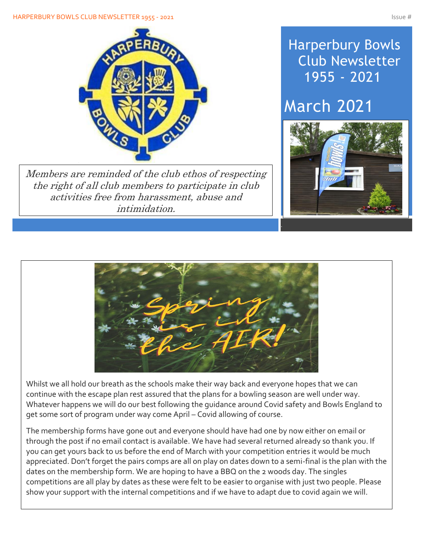

Members are reminded of the club ethos of respecting the right of all club members to participate in club activities free from harassment, abuse and intimidation.

## Harperbury Bowls Club Newsletter 1955 - 2021

# March 2021





Whilst we all hold our breath as the schools make their way back and everyone hopes that we can continue with the escape plan rest assured that the plans for a bowling season are well under way. Whatever happens we will do our best following the guidance around Covid safety and Bowls England to get some sort of program under way come April – Covid allowing of course.

The membership forms have gone out and everyone should have had one by now either on email or through the post if no email contact is available. We have had several returned already so thank you. If you can get yours back to us before the end of March with your competition entries it would be much appreciated. Don't forget the pairs comps are all on play on dates down to a semi-final is the plan with the dates on the membership form. We are hoping to have a BBQ on the 2 woods day. The singles competitions are all play by dates as these were felt to be easier to organise with just two people. Please show your support with the internal competitions and if we have to adapt due to covid again we will.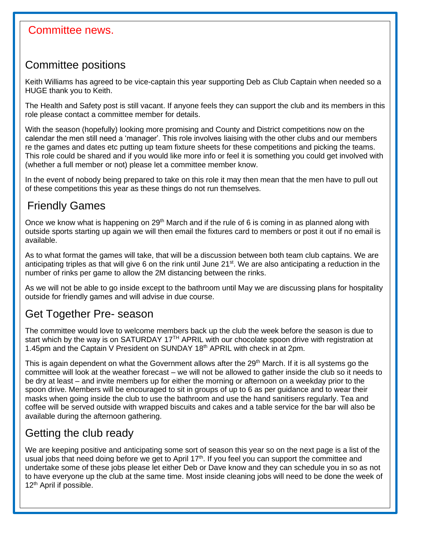#### Committee news.

Í

#### Committee positions

Keith Williams has agreed to be vice-captain this year supporting Deb as Club Captain when needed so a HUGE thank you to Keith.

The Health and Safety post is still vacant. If anyone feels they can support the club and its members in this role please contact a committee member for details.

With the season (hopefully) looking more promising and County and District competitions now on the calendar the men still need a 'manager'. This role involves liaising with the other clubs and our members re the games and dates etc putting up team fixture sheets for these competitions and picking the teams. This role could be shared and if you would like more info or feel it is something you could get involved with (whether a full member or not) please let a committee member know.

In the event of nobody being prepared to take on this role it may then mean that the men have to pull out of these competitions this year as these things do not run themselves.

#### Friendly Games

Once we know what is happening on  $29<sup>th</sup>$  March and if the rule of 6 is coming in as planned along with outside sports starting up again we will then email the fixtures card to members or post it out if no email is available.

As to what format the games will take, that will be a discussion between both team club captains. We are anticipating triples as that will give 6 on the rink until June  $21^{st}$ . We are also anticipating a reduction in the number of rinks per game to allow the 2M distancing between the rinks.

As we will not be able to go inside except to the bathroom until May we are discussing plans for hospitality outside for friendly games and will advise in due course.

#### Get Together Pre- season

The committee would love to welcome members back up the club the week before the season is due to start which by the way is on SATURDAY 17<sup>TH</sup> APRIL with our chocolate spoon drive with registration at 1.45pm and the Captain V President on SUNDAY 18<sup>th</sup> APRIL with check in at 2pm.

This is again dependent on what the Government allows after the 29<sup>th</sup> March. If it is all systems go the committee will look at the weather forecast – we will not be allowed to gather inside the club so it needs to be dry at least – and invite members up for either the morning or afternoon on a weekday prior to the spoon drive. Members will be encouraged to sit in groups of up to 6 as per guidance and to wear their masks when going inside the club to use the bathroom and use the hand sanitisers regularly. Tea and coffee will be served outside with wrapped biscuits and cakes and a table service for the bar will also be available during the afternoon gathering.

### Getting the club ready

We are keeping positive and anticipating some sort of season this year so on the next page is a list of the usual jobs that need doing before we get to April 17<sup>th</sup>. If you feel you can support the committee and undertake some of these jobs please let either Deb or Dave know and they can schedule you in so as not to have everyone up the club at the same time. Most inside cleaning jobs will need to be done the week of 12<sup>th</sup> April if possible.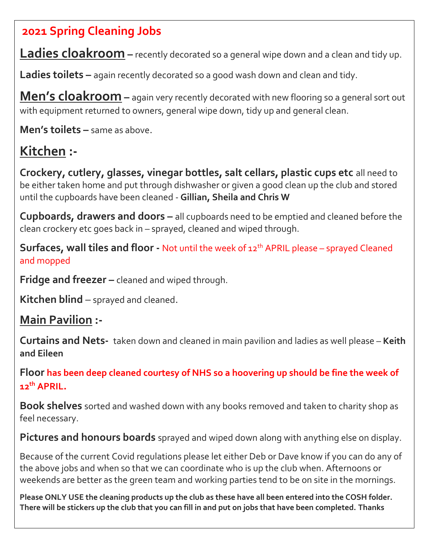### **2021 Spring Cleaning Jobs**

**Ladies cloakroom –** recently decorated so a general wipe down and a clean and tidy up.

**Ladies toilets –** again recently decorated so a good wash down and clean and tidy.

**Men's cloakroom –** again very recently decorated with new flooring so a general sort out with equipment returned to owners, general wipe down, tidy up and general clean.

**Men's toilets –** same as above.

## **Kitchen :-**

**Crockery, cutlery, glasses, vinegar bottles, salt cellars, plastic cups etc** all need to be either taken home and put through dishwasher or given a good clean up the club and stored until the cupboards have been cleaned - **Gillian, Sheila and Chris W**

**Cupboards, drawers and doors –** all cupboards need to be emptied and cleaned before the clean crockery etc goes back in – sprayed, cleaned and wiped through.

**Surfaces, wall tiles and floor -** Not until the week of 12<sup>th</sup> APRIL please – sprayed Cleaned and mopped

**Fridge and freezer –** cleaned and wiped through.

**Kitchen blind** – sprayed and cleaned.

### **Main Pavilion :-**

**Curtains and Nets-** taken down and cleaned in main pavilion and ladies as well please – **Keith and Eileen**

**Floor has been deep cleaned courtesy of NHS so a hoovering up should be fine the week of 12th APRIL.**

**Book shelves** sorted and washed down with any books removed and taken to charity shop as feel necessary.

**Pictures and honours boards** sprayed and wiped down along with anything else on display.

Because of the current Covid regulations please let either Deb or Dave know if you can do any of the above jobs and when so that we can coordinate who is up the club when. Afternoons or weekends are better as the green team and working parties tend to be on site in the mornings.

**Please ONLY USE the cleaning products up the club as these have all been entered into the COSH folder. There will be stickers up the club that you can fill in and put on jobs that have been completed. Thanks**